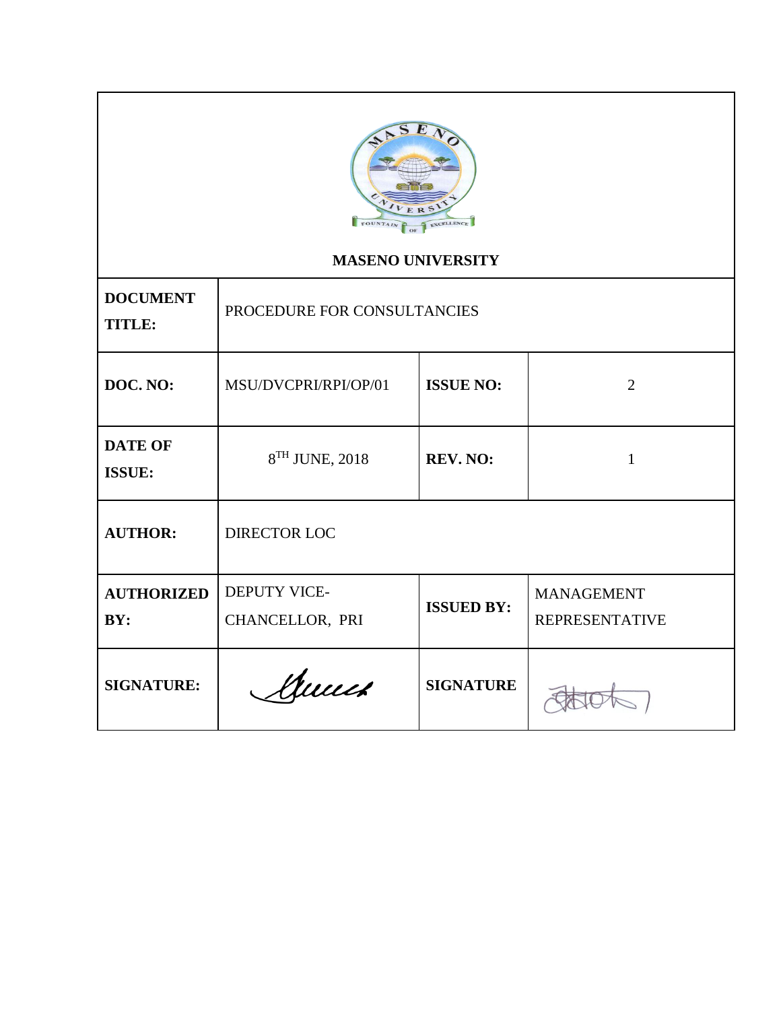

# **MASENO UNIVERSITY**

| <b>DOCUMENT</b><br><b>TITLE:</b> | PROCEDURE FOR CONSULTANCIES     |                   |                                            |
|----------------------------------|---------------------------------|-------------------|--------------------------------------------|
| DOC. NO:                         | MSU/DVCPRI/RPI/OP/01            | <b>ISSUE NO:</b>  | 2                                          |
| <b>DATE OF</b><br><b>ISSUE:</b>  | 8 <sup>TH</sup> JUNE, 2018      | <b>REV. NO:</b>   | 1                                          |
| <b>AUTHOR:</b>                   | DIRECTOR LOC                    |                   |                                            |
| <b>AUTHORIZED</b><br>BY:         | DEPUTY VICE-<br>CHANCELLOR, PRI | <b>ISSUED BY:</b> | <b>MANAGEMENT</b><br><b>REPRESENTATIVE</b> |
| <b>SIGNATURE:</b>                | Munch                           | <b>SIGNATURE</b>  |                                            |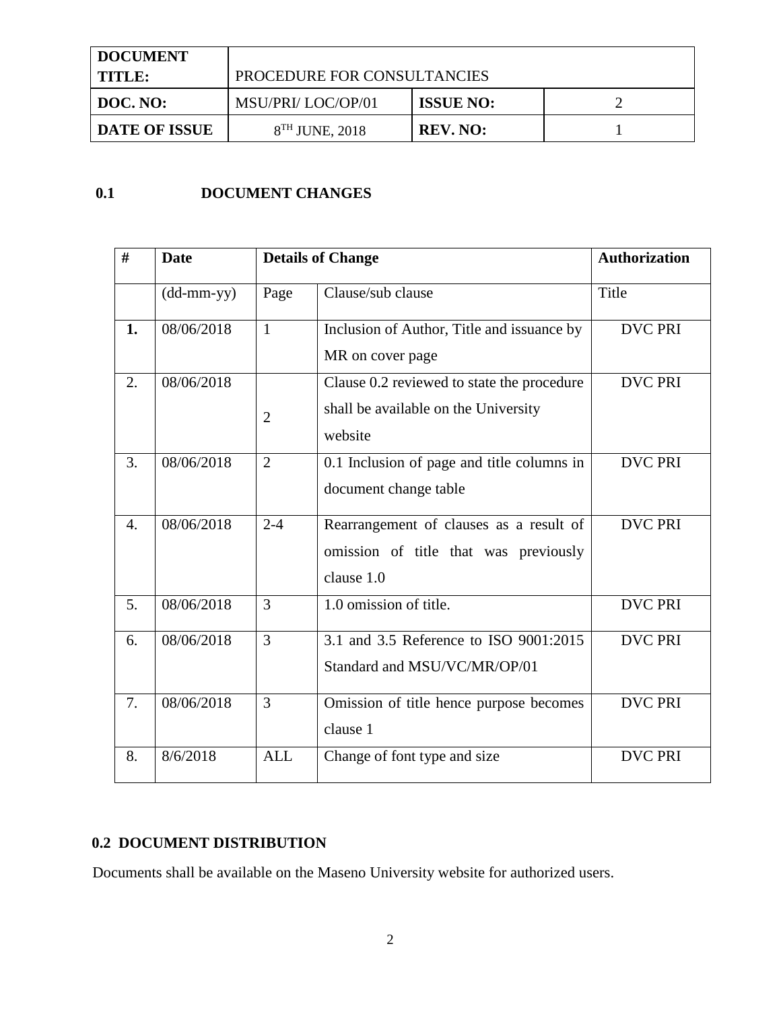| <b>DOCUMENT</b>      |                             |                  |  |
|----------------------|-----------------------------|------------------|--|
| I TITLE:             | PROCEDURE FOR CONSULTANCIES |                  |  |
| DOC. NO:             | MSU/PRI/ LOC/OP/01          | <b>ISSUE NO:</b> |  |
| <b>DATE OF ISSUE</b> | $8TH$ JUNE, 2018            | <b>REV. NO:</b>  |  |

## **0.1 DOCUMENT CHANGES**

| #  | <b>Date</b>                                       |                | <b>Details of Change</b>                                                                       | <b>Authorization</b> |
|----|---------------------------------------------------|----------------|------------------------------------------------------------------------------------------------|----------------------|
|    | $(dd{\text{-}\!\!\,\text{mm-}}\text{\small{yy}})$ | Page           | Clause/sub clause                                                                              | Title                |
| 1. | 08/06/2018                                        | $\mathbf{1}$   | Inclusion of Author, Title and issuance by<br>MR on cover page                                 | <b>DVC PRI</b>       |
| 2. | 08/06/2018                                        | $\overline{2}$ | Clause 0.2 reviewed to state the procedure<br>shall be available on the University<br>website  | <b>DVC PRI</b>       |
| 3. | 08/06/2018                                        | $\overline{2}$ | 0.1 Inclusion of page and title columns in<br>document change table                            | <b>DVC PRI</b>       |
| 4. | 08/06/2018                                        | $2 - 4$        | Rearrangement of clauses as a result of<br>omission of title that was previously<br>clause 1.0 | <b>DVC PRI</b>       |
| 5. | 08/06/2018                                        | 3              | 1.0 omission of title.                                                                         | <b>DVC PRI</b>       |
| 6. | 08/06/2018                                        | 3              | 3.1 and 3.5 Reference to ISO 9001:2015<br>Standard and MSU/VC/MR/OP/01                         | <b>DVC PRI</b>       |
| 7. | 08/06/2018                                        | $\overline{3}$ | Omission of title hence purpose becomes<br>clause 1                                            | <b>DVC PRI</b>       |
| 8. | 8/6/2018                                          | <b>ALL</b>     | Change of font type and size                                                                   | <b>DVC PRI</b>       |

### **0.2 DOCUMENT DISTRIBUTION**

Documents shall be available on the Maseno University website for authorized users.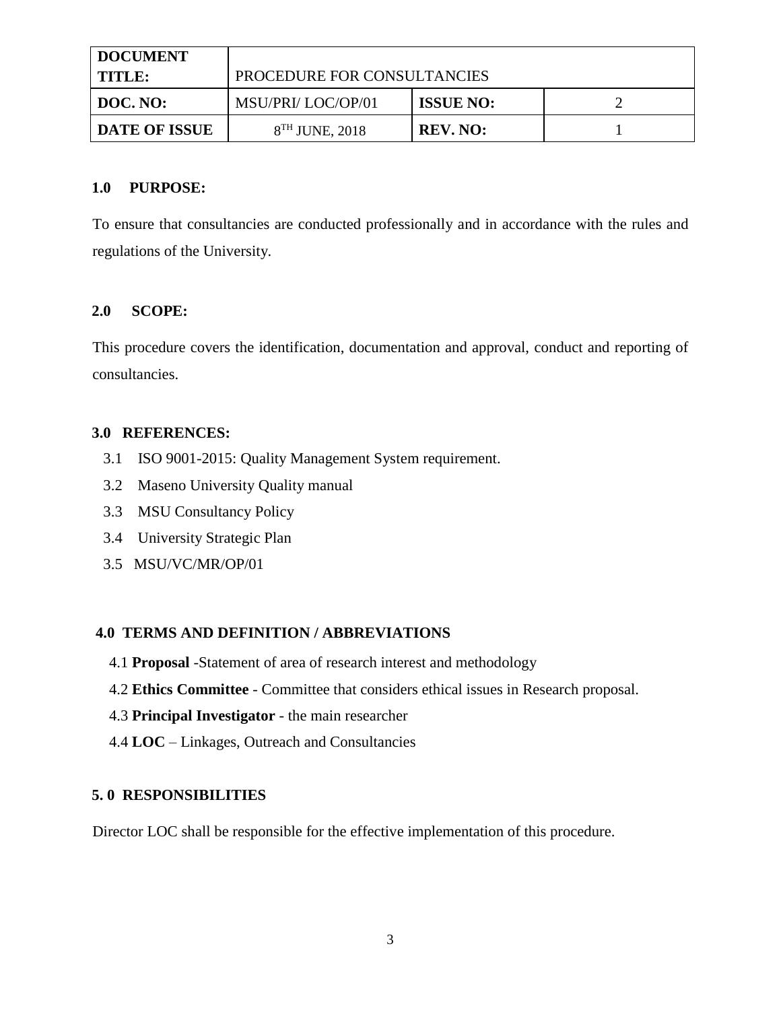| <b>DOCUMENT</b>      |                             |                  |  |
|----------------------|-----------------------------|------------------|--|
| I TITLE:             | PROCEDURE FOR CONSULTANCIES |                  |  |
| DOC. NO:             | MSU/PRI/LOC/OP/01           | <b>ISSUE NO:</b> |  |
| <b>DATE OF ISSUE</b> | 8 <sup>TH</sup> JUNE, 2018  | REV. NO:         |  |

#### **1.0 PURPOSE:**

To ensure that consultancies are conducted professionally and in accordance with the rules and regulations of the University.

#### **2.0 SCOPE:**

This procedure covers the identification, documentation and approval, conduct and reporting of consultancies.

#### **3.0 REFERENCES:**

- 3.1 ISO 9001-2015: Quality Management System requirement.
- 3.2 Maseno University Quality manual
- 3.3 MSU Consultancy Policy
- 3.4 University Strategic Plan
- 3.5 MSU/VC/MR/OP/01

#### **4.0 TERMS AND DEFINITION / ABBREVIATIONS**

- 4.1 **Proposal** -Statement of area of research interest and methodology
- 4.2 **Ethics Committee** Committee that considers ethical issues in Research proposal.
- 4.3 **Principal Investigator**  the main researcher
- 4.4 **LOC**  Linkages, Outreach and Consultancies

#### **5. 0 RESPONSIBILITIES**

Director LOC shall be responsible for the effective implementation of this procedure.